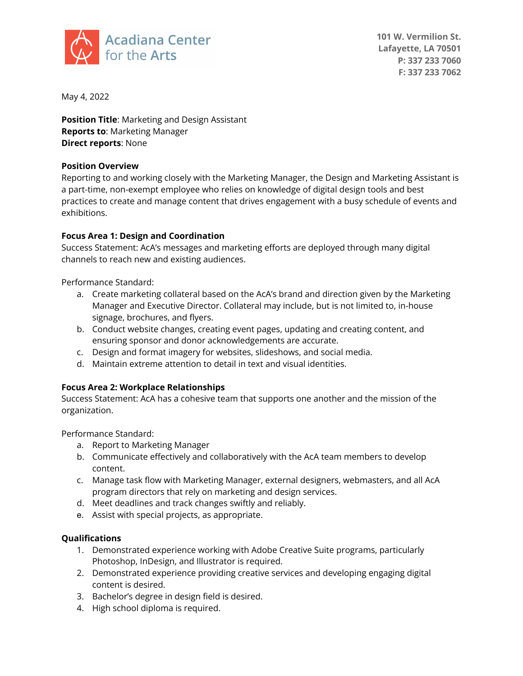

**101 W. Vermilion St. Lafayette, LA 70501 P: 337 233 7060 F: 337 233 7062**

May 4, 2022

**Position Title**: Marketing and Design Assistant **Reports to**: Marketing Manager **Direct reports**: None

### **Position Overview**

Reporting to and working closely with the Marketing Manager, the Design and Marketing Assistant is a part-time, non-exempt employee who relies on knowledge of digital design tools and best practices to create and manage content that drives engagement with a busy schedule of events and exhibitions.

## **Focus Area 1: Design and Coordination**

Success Statement: AcA's messages and marketing efforts are deployed through many digital channels to reach new and existing audiences.

Performance Standard:

- a. Create marketing collateral based on the AcA's brand and direction given by the Marketing Manager and Executive Director. Collateral may include, but is not limited to, in-house signage, brochures, and flyers.
- b. Conduct website changes, creating event pages, updating and creating content, and ensuring sponsor and donor acknowledgements are accurate.
- c. Design and format imagery for websites, slideshows, and social media.
- d. Maintain extreme attention to detail in text and visual identities.

# **Focus Area 2: Workplace Relationships**

Success Statement: AcA has a cohesive team that supports one another and the mission of the organization.

Performance Standard:

- a. Report to Marketing Manager
- b. Communicate effectively and collaboratively with the AcA team members to develop content.
- c. Manage task flow with Marketing Manager, external designers, webmasters, and all AcA program directors that rely on marketing and design services.
- d. Meet deadlines and track changes swiftly and reliably.
- e. Assist with special projects, as appropriate.

### **Qualifications**

- 1. Demonstrated experience working with Adobe Creative Suite programs, particularly Photoshop, InDesign, and Illustrator is required.
- 2. Demonstrated experience providing creative services and developing engaging digital content is desired.
- 3. Bachelor's degree in design field is desired.
- 4. High school diploma is required.